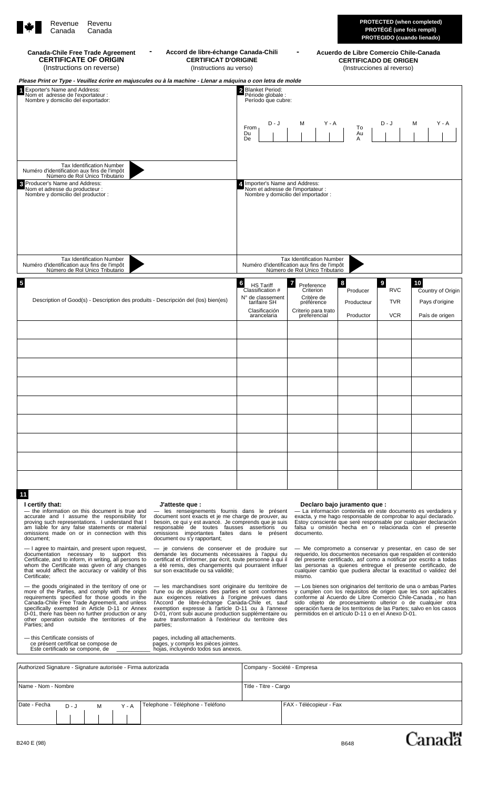| Revenu<br>Revenue<br>Canada<br>Canada                                                                                                                                                                                                           |                                                                                                               |                                                                                                              |                                                         | <b>PROTECTED (when completed)</b><br>PROTÉGÉ (une fois rempli)<br>PROTEGIDO (cuando lienado) |                                                             |  |
|-------------------------------------------------------------------------------------------------------------------------------------------------------------------------------------------------------------------------------------------------|---------------------------------------------------------------------------------------------------------------|--------------------------------------------------------------------------------------------------------------|---------------------------------------------------------|----------------------------------------------------------------------------------------------|-------------------------------------------------------------|--|
| Accord de libre-échange Canada-Chili<br><b>Canada-Chile Free Trade Agreement</b><br><b>CERTIFICATE OF ORIGIN</b><br><b>CERTIFICAT D'ORIGINE</b><br>(Instructions on reverse)<br>(Instructions au verso)                                         | Acuerdo de Libre Comercio Chile-Canada<br><b>CERTIFICADO DE ORIGEN</b><br>(Instrucciones al reverso)          |                                                                                                              |                                                         |                                                                                              |                                                             |  |
| Please Print or Type - Veuillez écrire en majuscules ou à la machine - Llenar a máquina o con letra de molde<br>Exporter's Name and Address:<br>$\blacktriangleleft$<br>Nom et adresse de l'exportateur :<br>Nombre y domicilio del exportador: | 2 Blanket Period:<br>Période globale :<br>Período que cubre:<br>$D - J$<br>From<br>Du<br>De                   | $Y - A$<br>M                                                                                                 | To<br>Au<br>Α                                           | $D - J$                                                                                      | $Y - A$<br>м                                                |  |
| <b>Tax Identification Number</b><br>Numéro d'identification aux fins de l'impôt<br>Número de Rol Único Tributario<br>Producer's Name and Address:<br>$\boldsymbol{3}$<br>Nom et adresse du producteur :<br>Nombre y domicilio del productor :   | 4. Importer's Name and Address:                                                                               | Nom et adresse de l'importateur :<br>Nombre y domicilio del importador :                                     |                                                         |                                                                                              |                                                             |  |
| <b>Tax Identification Number</b><br>Numéro d'identification aux fins de l'impôt<br>Número de Rol Único Tributario                                                                                                                               | Tax Identification Number<br>Numéro d'identification aux fins de l'impôt<br>Número de Rol Único Tributario    |                                                                                                              |                                                         |                                                                                              |                                                             |  |
| $\overline{\mathbf{5}}$<br>Description of Good(s) - Description des produits - Descripción del (los) bien(es)                                                                                                                                   | 6<br><b>HS Tariff</b><br>Classification #<br>N° de classement<br>tarifaire SH<br>Clasificación<br>arancelaria | $\overline{7}$<br>Preference<br>Criterion<br>Critère de<br>préférence<br>Criterio para trato<br>preferencial | $\boldsymbol{8}$<br>Producer<br>Producteur<br>Productor | $\boldsymbol{9}$<br><b>RVC</b><br><b>TVR</b><br><b>VCR</b>                                   | 10<br>Country of Origin<br>Pays d'origine<br>País de origen |  |
|                                                                                                                                                                                                                                                 |                                                                                                               |                                                                                                              |                                                         |                                                                                              |                                                             |  |
|                                                                                                                                                                                                                                                 |                                                                                                               |                                                                                                              |                                                         |                                                                                              |                                                             |  |
|                                                                                                                                                                                                                                                 |                                                                                                               |                                                                                                              |                                                         |                                                                                              |                                                             |  |
|                                                                                                                                                                                                                                                 |                                                                                                               |                                                                                                              |                                                         |                                                                                              |                                                             |  |
|                                                                                                                                                                                                                                                 |                                                                                                               |                                                                                                              |                                                         |                                                                                              |                                                             |  |
| 11                                                                                                                                                                                                                                              |                                                                                                               |                                                                                                              |                                                         |                                                                                              |                                                             |  |

— the information on this document is true and<br>accurate and 1 assume the responsibility for<br>proving such representations. I understand that I<br>am liable for any false statements or material<br>omissions made on or in connectio

- I agree to maintain, and present upon request,<br>documentation mecessary to support this<br>Certificate, and to inform, in writing, all persons to<br>whom the Certificate was given of any changes<br>that would affect the accuracy o

— the goods originated in the territory of one or<br>more of the Parties, and comply with the origin<br>requirements specified for those goods in the<br>Canada-Chile Free Trade Agreement, and unless<br>specifically exempted in Article Parties; and

mis Certificate consists of pages, including all attachements.<br>Ce présent certificat se compose de pages, y compris les pièces jointes.<br>Este certificado se compone, de \_\_\_\_\_\_\_\_\_\_\_\_ hojas, incluyendo todos sus anexos.

— les renseignements fournis dans le présent<br>document sont exacts et je me charge de prouver, au<br>besoin, ce qui y est avancé. Je comprends que je suis<br>responsable de toutes fausses assertions ou<br>omissions importantes faite

— je conviens de conserver et de produire sur<br>demande les documents nécessaires à l'appui du<br>certificat et d'informer, par écrit, toute personne à qui il<br>a été remis, des changements qui pourraient influer<br>sur son exactitu

— les marchandises sont originaire du territoire de<br>l'une ou de plusieurs des parties et sont conformes<br>aux exigences relatives à l'origine prévues dans<br>l'Accord de libre-échange Canada-Chile et, sauf<br>exemption expresse à parties;

### **I certify that: J'atteste que : Declaro bajo juramento que :**

— La información contenida en este documento es verdadera y<br>exacta, y me hago responsable de comprobar lo aquí declarado.<br>Estoy consciente que seré responsable por cualquier declaración<br>falsa u omisión hecha en o relaciona

— Me comprometo a conservar y presentar, en caso de ser<br>requerido, los documentos necesarios que respalden el contenido<br>del presente certificado, así como a notificar por escrito a todas<br>las personas a quienes entregue el

— Los bienes son originarios del territorio de una o ambas Partes<br>y cumplen con los requisitos de origen que les son aplicables<br>conforme al Acuerdo de Libre Comercio Chile-Canada , no han<br>sido objeto de procesamiento ulter

| Authorized Signature - Signature autorisée - Firma autorizada |         |                       | Company - Société - Empresa |                                  |  |                         |  |
|---------------------------------------------------------------|---------|-----------------------|-----------------------------|----------------------------------|--|-------------------------|--|
| Name - Nom - Nombre                                           |         | Title - Titre - Cargo |                             |                                  |  |                         |  |
| Date - Fecha                                                  | $D - J$ | M                     | $Y - A$                     | Telephone - Téléphone - Teléfono |  | FAX - Télécopieur - Fax |  |